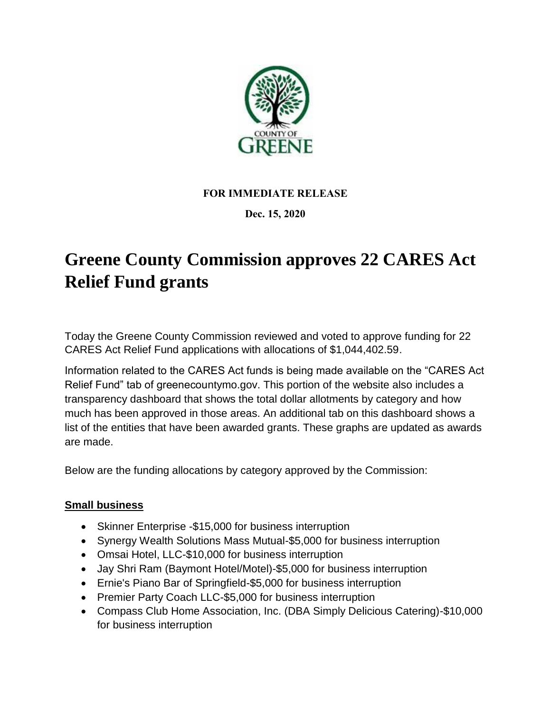

## **FOR IMMEDIATE RELEASE**

#### **Dec. 15, 2020**

# **Greene County Commission approves 22 CARES Act Relief Fund grants**

Today the Greene County Commission reviewed and voted to approve funding for 22 CARES Act Relief Fund applications with allocations of \$1,044,402.59.

Information related to the CARES Act funds is being made available on the "CARES Act Relief Fund" tab of greenecountymo.gov. This portion of the website also includes a transparency dashboard that shows the total dollar allotments by category and how much has been approved in those areas. An additional tab on this dashboard shows a list of the entities that have been awarded grants. These graphs are updated as awards are made.

Below are the funding allocations by category approved by the Commission:

#### **Small business**

- Skinner Enterprise -\$15,000 for business interruption
- Synergy Wealth Solutions Mass Mutual-\$5,000 for business interruption
- Omsai Hotel, LLC-\$10,000 for business interruption
- Jay Shri Ram (Baymont Hotel/Motel)-\$5,000 for business interruption
- Ernie's Piano Bar of Springfield-\$5,000 for business interruption
- Premier Party Coach LLC-\$5,000 for business interruption
- Compass Club Home Association, Inc. (DBA Simply Delicious Catering)-\$10,000 for business interruption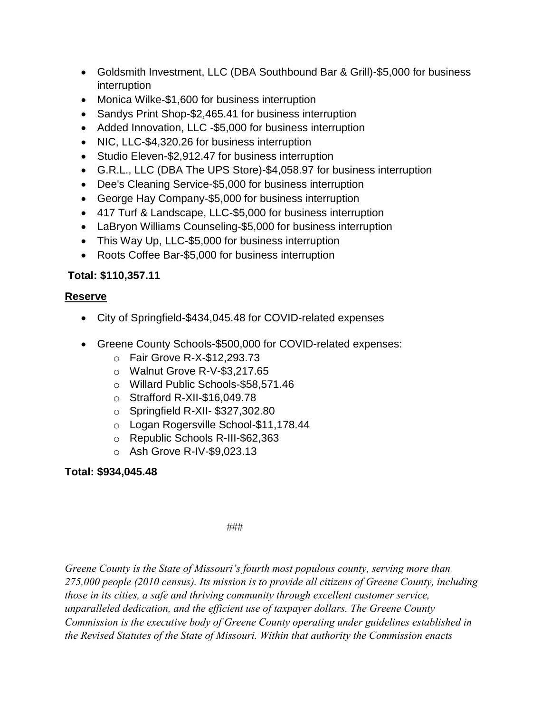- Goldsmith Investment, LLC (DBA Southbound Bar & Grill)-\$5,000 for business interruption
- Monica Wilke-\$1,600 for business interruption
- Sandys Print Shop-\$2,465.41 for business interruption
- Added Innovation, LLC -\$5,000 for business interruption
- NIC, LLC-\$4,320.26 for business interruption
- Studio Eleven-\$2,912.47 for business interruption
- G.R.L., LLC (DBA The UPS Store)-\$4,058.97 for business interruption
- Dee's Cleaning Service-\$5,000 for business interruption
- George Hay Company-\$5,000 for business interruption
- 417 Turf & Landscape, LLC-\$5,000 for business interruption
- LaBryon Williams Counseling-\$5,000 for business interruption
- This Way Up, LLC-\$5,000 for business interruption
- Roots Coffee Bar-\$5,000 for business interruption

## **Total: \$110,357.11**

#### **Reserve**

- City of Springfield-\$434,045.48 for COVID-related expenses
- Greene County Schools-\$500,000 for COVID-related expenses:
	- o Fair Grove R-X-\$12,293.73
	- o Walnut Grove R-V-\$3,217.65
	- o Willard Public Schools-\$58,571.46
	- o Strafford R-XII-\$16,049.78
	- o Springfield R-XII- \$327,302.80
	- o Logan Rogersville School-\$11,178.44
	- o Republic Schools R-III-\$62,363
	- o Ash Grove R-IV-\$9,023.13

# **Total: \$934,045.48**

###

*Greene County is the State of Missouri's fourth most populous county, serving more than 275,000 people (2010 census). Its mission is to provide all citizens of Greene County, including those in its cities, a safe and thriving community through excellent customer service, unparalleled dedication, and the efficient use of taxpayer dollars. The Greene County Commission is the executive body of Greene County operating under guidelines established in the Revised Statutes of the State of Missouri. Within that authority the Commission enacts*